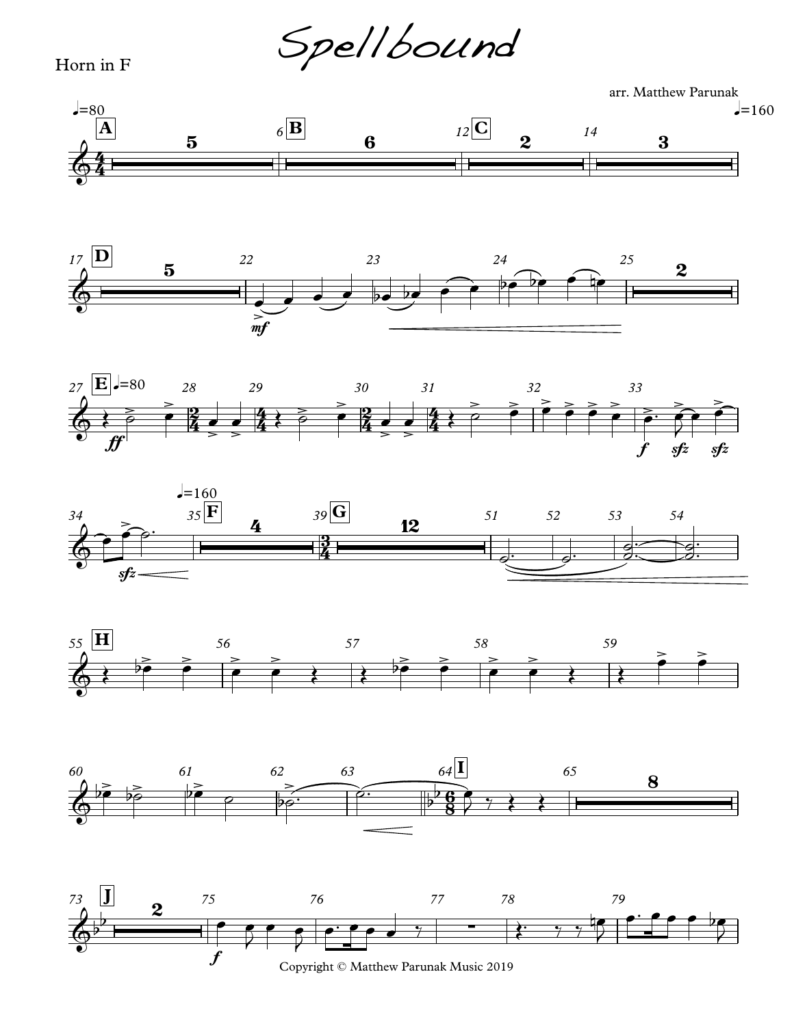Spellbound

## Horn in F

arr. Matthew Parunak